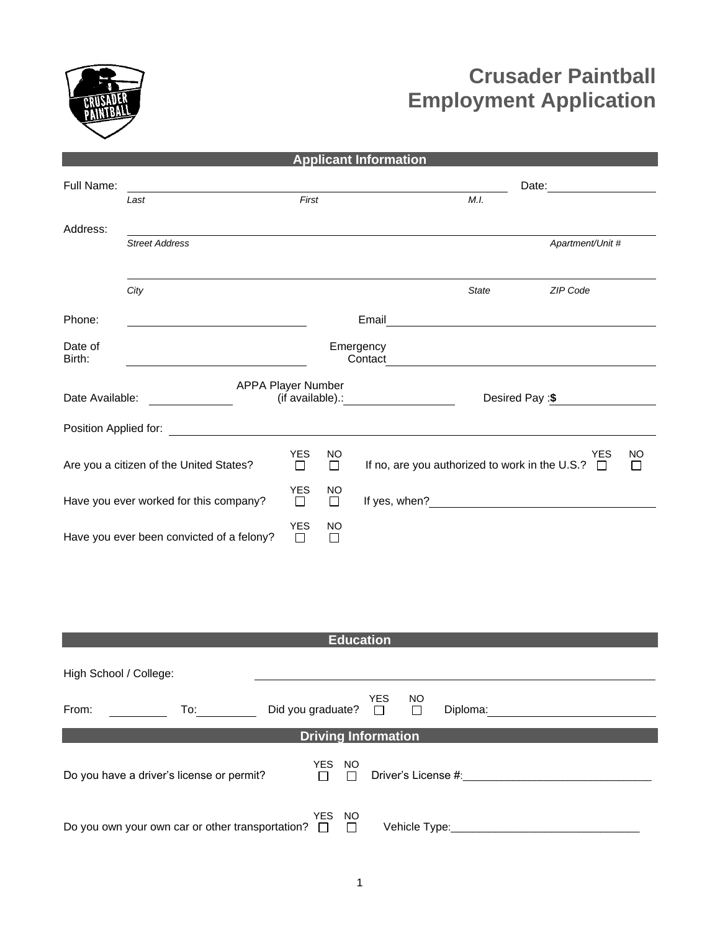

## **Crusader Paintball Employment Application**

| <b>Applicant Information</b>              |                                                                                                                                                                                                                                      |                      |                     |                      |                                                                                 |                  |         |  |
|-------------------------------------------|--------------------------------------------------------------------------------------------------------------------------------------------------------------------------------------------------------------------------------------|----------------------|---------------------|----------------------|---------------------------------------------------------------------------------|------------------|---------|--|
| Full Name:                                |                                                                                                                                                                                                                                      |                      |                     |                      |                                                                                 |                  |         |  |
|                                           | Last                                                                                                                                                                                                                                 | First                |                     |                      | M.L.                                                                            |                  |         |  |
| Address:                                  |                                                                                                                                                                                                                                      |                      |                     |                      |                                                                                 |                  |         |  |
|                                           | <b>Street Address</b>                                                                                                                                                                                                                |                      |                     |                      |                                                                                 | Apartment/Unit # |         |  |
|                                           |                                                                                                                                                                                                                                      |                      |                     |                      |                                                                                 |                  |         |  |
|                                           | City                                                                                                                                                                                                                                 |                      |                     |                      | <b>State</b>                                                                    | ZIP Code         |         |  |
| Phone:                                    |                                                                                                                                                                                                                                      |                      |                     | Email                | the contract of the contract of the contract of the contract of the contract of |                  |         |  |
| Date of<br>Birth:                         |                                                                                                                                                                                                                                      |                      |                     | Emergency<br>Contact | <u> 1989 - John Stein, mars and de Brazilian (b. 1989)</u>                      |                  |         |  |
| Date Available:                           | APPA Player Number                                                                                                                                                                                                                   |                      |                     |                      |                                                                                 | Desired Pay :\$  |         |  |
|                                           | Position Applied for: <u>contract the contract of the contract of the contract of the contract of the contract of the contract of the contract of the contract of the contract of the contract of the contract of the contract o</u> |                      |                     |                      |                                                                                 |                  |         |  |
| Are you a citizen of the United States?   |                                                                                                                                                                                                                                      | <b>YES</b><br>$\Box$ | <b>NO</b><br>$\Box$ |                      | If no, are you authorized to work in the U.S.? $\Box$                           | <b>YES</b>       | NO<br>П |  |
| Have you ever worked for this company?    |                                                                                                                                                                                                                                      | <b>YES</b><br>$\Box$ | NO<br>$\Box$        |                      |                                                                                 |                  |         |  |
| Have you ever been convicted of a felony? |                                                                                                                                                                                                                                      | <b>YES</b><br>$\Box$ | NO<br>$\Box$        |                      |                                                                                 |                  |         |  |

| <b>Education</b>                                           |                          |     |    |                     |  |  |  |  |
|------------------------------------------------------------|--------------------------|-----|----|---------------------|--|--|--|--|
| High School / College:                                     |                          |     |    |                     |  |  |  |  |
| From:<br>To: $\_\_$                                        | Did you graduate? $\Box$ | YES | NO | Diploma:            |  |  |  |  |
| <b>Driving Information</b>                                 |                          |     |    |                     |  |  |  |  |
| Do you have a driver's license or permit?                  | YES NO<br>$\Box$         |     |    | Driver's License #: |  |  |  |  |
| Do you own your own car or other transportation? $\square$ | YES NO                   |     |    | Vehicle Type:       |  |  |  |  |